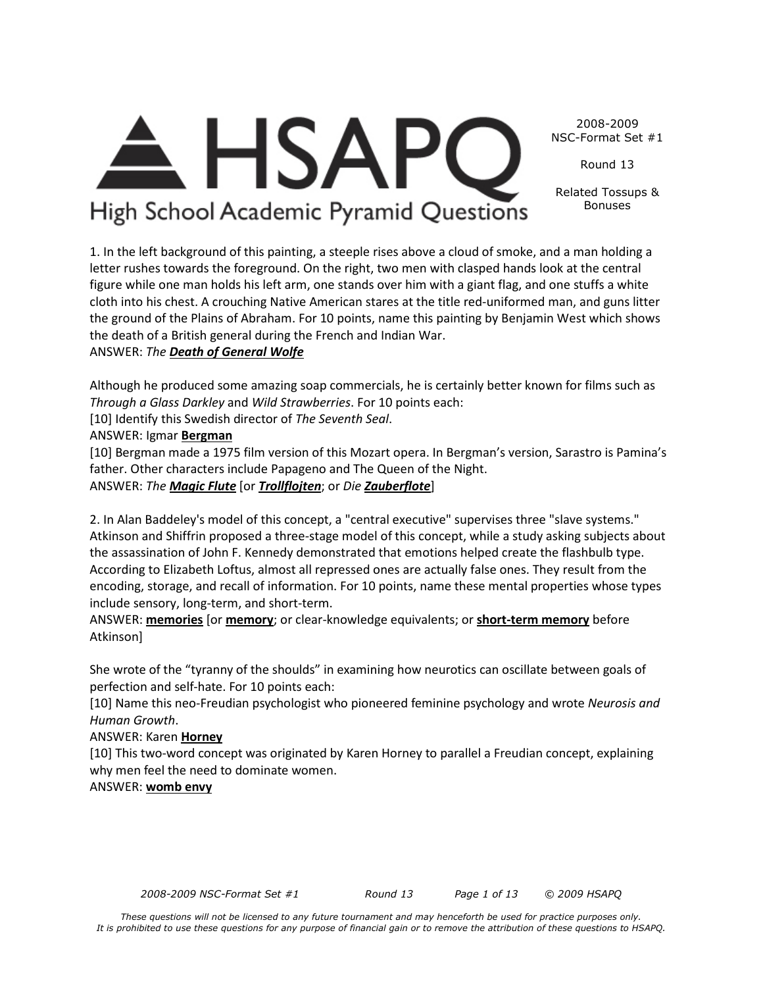*These questions will not be licensed to any future tournament and may henceforth be used for practice purposes only. It is prohibited to use these questions for any purpose of financial gain or to remove the attribution of these questions to HSAPQ.*

2008-2009 NSC-Format Set #1

Round 13

Related Tossups & Bonuses

1. In the left background of this painting, a steeple rises above a cloud of smoke, and a man holding a letter rushes towards the foreground. On the right, two men with clasped hands look at the central figure while one man holds his left arm, one stands over him with a giant flag, and one stuffs a white cloth into his chest. A crouching Native American stares at the title red-uniformed man, and guns litter the ground of the Plains of Abraham. For 10 points, name this painting by Benjamin West which shows the death of a British general during the French and Indian War.

**HSAP** 

High School Academic Pyramid Questions

ANSWER: *The Death of General Wolfe*

Although he produced some amazing soap commercials, he is certainly better known for films such as *Through a Glass Darkley* and *Wild Strawberries*. For 10 points each:

[10] Identify this Swedish director of *The Seventh Seal*.

ANSWER: Igmar **Bergman**

[10] Bergman made a 1975 film version of this Mozart opera. In Bergman's version, Sarastro is Pamina's father. Other characters include Papageno and The Queen of the Night. ANSWER: *The Magic Flute* [or *Trollflojten*; or *Die Zauberflote*]

2. In Alan Baddeley's model of this concept, a "central executive" supervises three "slave systems." Atkinson and Shiffrin proposed a three-stage model of this concept, while a study asking subjects about the assassination of John F. Kennedy demonstrated that emotions helped create the flashbulb type. According to Elizabeth Loftus, almost all repressed ones are actually false ones. They result from the encoding, storage, and recall of information. For 10 points, name these mental properties whose types include sensory, long-term, and short-term.

ANSWER: **memories** [or **memory**; or clear-knowledge equivalents; or **short-term memory** before Atkinson]

She wrote of the "tyranny of the shoulds" in examining how neurotics can oscillate between goals of perfection and self-hate. For 10 points each:

[10] Name this neo-Freudian psychologist who pioneered feminine psychology and wrote *Neurosis and Human Growth*.

# ANSWER: Karen **Horney**

[10] This two-word concept was originated by Karen Horney to parallel a Freudian concept, explaining why men feel the need to dominate women.

# ANSWER: **womb envy**

*2008-2009 NSC-Format Set #1 Round 13 Page 1 of 13 © 2009 HSAPQ*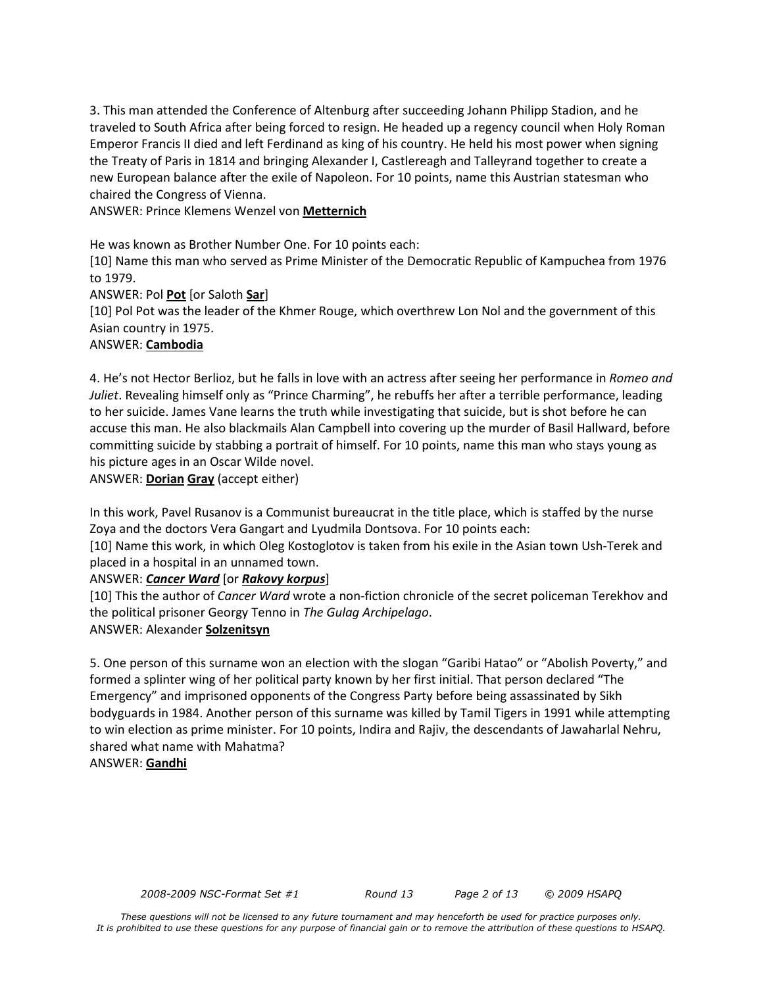3. This man attended the Conference of Altenburg after succeeding Johann Philipp Stadion, and he traveled to South Africa after being forced to resign. He headed up a regency council when Holy Roman Emperor Francis II died and left Ferdinand as king of his country. He held his most power when signing the Treaty of Paris in 1814 and bringing Alexander I, Castlereagh and Talleyrand together to create a new European balance after the exile of Napoleon. For 10 points, name this Austrian statesman who chaired the Congress of Vienna.

ANSWER: Prince Klemens Wenzel von **Metternich**

He was known as Brother Number One. For 10 points each:

[10] Name this man who served as Prime Minister of the Democratic Republic of Kampuchea from 1976 to 1979.

ANSWER: Pol **Pot** [or Saloth **Sar**]

[10] Pol Pot was the leader of the Khmer Rouge, which overthrew Lon Nol and the government of this Asian country in 1975.

### ANSWER: **Cambodia**

4. He's not Hector Berlioz, but he falls in love with an actress after seeing her performance in *Romeo and Juliet*. Revealing himself only as "Prince Charming", he rebuffs her after a terrible performance, leading to her suicide. James Vane learns the truth while investigating that suicide, but is shot before he can accuse this man. He also blackmails Alan Campbell into covering up the murder of Basil Hallward, before committing suicide by stabbing a portrait of himself. For 10 points, name this man who stays young as his picture ages in an Oscar Wilde novel.

ANSWER: **Dorian Gray** (accept either)

In this work, Pavel Rusanov is a Communist bureaucrat in the title place, which is staffed by the nurse Zoya and the doctors Vera Gangart and Lyudmila Dontsova. For 10 points each:

[10] Name this work, in which Oleg Kostoglotov is taken from his exile in the Asian town Ush-Terek and placed in a hospital in an unnamed town.

ANSWER: *Cancer Ward* [or *Rakovy korpus*]

[10] This the author of *Cancer Ward* wrote a non-fiction chronicle of the secret policeman Terekhov and the political prisoner Georgy Tenno in *The Gulag Archipelago*. ANSWER: Alexander **Solzenitsyn**

5. One person of this surname won an election with the slogan "Garibi Hatao" or "Abolish Poverty," and formed a splinter wing of her political party known by her first initial. That person declared "The Emergency" and imprisoned opponents of the Congress Party before being assassinated by Sikh bodyguards in 1984. Another person of this surname was killed by Tamil Tigers in 1991 while attempting to win election as prime minister. For 10 points, Indira and Rajiv, the descendants of Jawaharlal Nehru, shared what name with Mahatma?

ANSWER: **Gandhi**

*2008-2009 NSC-Format Set #1 Round 13 Page 2 of 13 © 2009 HSAPQ*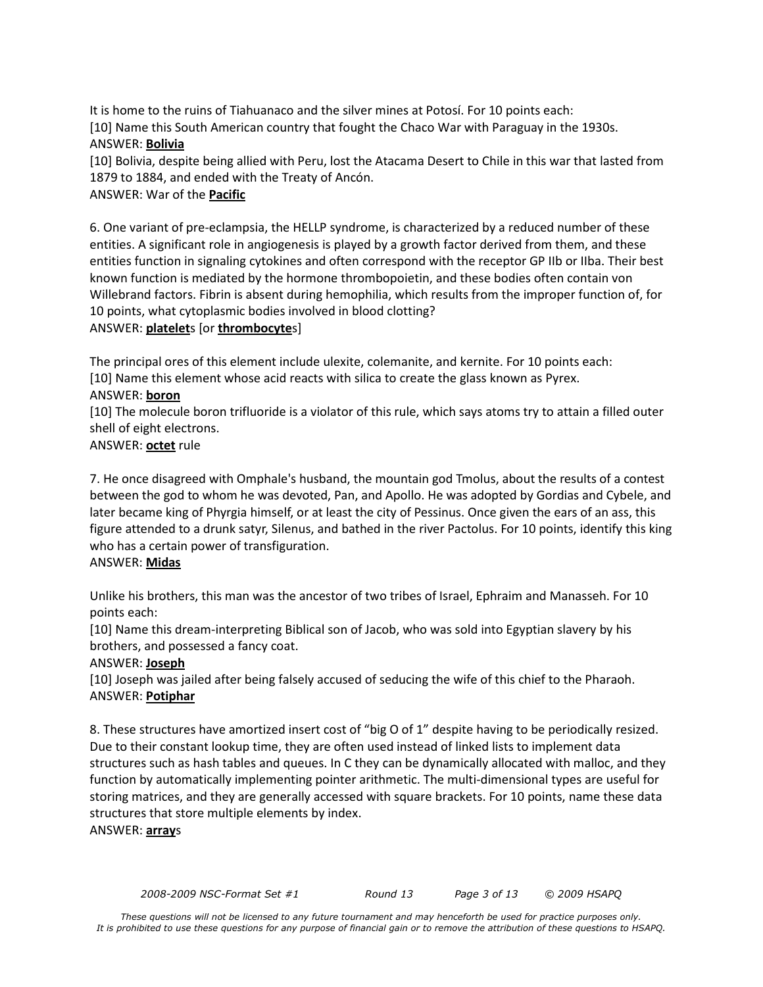It is home to the ruins of Tiahuanaco and the silver mines at Potosí. For 10 points each: [10] Name this South American country that fought the Chaco War with Paraguay in the 1930s. ANSWER: **Bolivia**

[10] Bolivia, despite being allied with Peru, lost the Atacama Desert to Chile in this war that lasted from 1879 to 1884, and ended with the Treaty of Ancón.

# ANSWER: War of the **Pacific**

6. One variant of pre-eclampsia, the HELLP syndrome, is characterized by a reduced number of these entities. A significant role in angiogenesis is played by a growth factor derived from them, and these entities function in signaling cytokines and often correspond with the receptor GP IIb or IIba. Their best known function is mediated by the hormone thrombopoietin, and these bodies often contain von Willebrand factors. Fibrin is absent during hemophilia, which results from the improper function of, for 10 points, what cytoplasmic bodies involved in blood clotting? ANSWER: **platelet**s [or **thrombocyte**s]

The principal ores of this element include ulexite, colemanite, and kernite. For 10 points each: [10] Name this element whose acid reacts with silica to create the glass known as Pyrex. ANSWER: **boron**

[10] The molecule boron trifluoride is a violator of this rule, which says atoms try to attain a filled outer shell of eight electrons.

ANSWER: **octet** rule

7. He once disagreed with Omphale's husband, the mountain god Tmolus, about the results of a contest between the god to whom he was devoted, Pan, and Apollo. He was adopted by Gordias and Cybele, and later became king of Phyrgia himself, or at least the city of Pessinus. Once given the ears of an ass, this figure attended to a drunk satyr, Silenus, and bathed in the river Pactolus. For 10 points, identify this king who has a certain power of transfiguration.

### ANSWER: **Midas**

Unlike his brothers, this man was the ancestor of two tribes of Israel, Ephraim and Manasseh. For 10 points each:

[10] Name this dream-interpreting Biblical son of Jacob, who was sold into Egyptian slavery by his brothers, and possessed a fancy coat.

# ANSWER: **Joseph**

[10] Joseph was jailed after being falsely accused of seducing the wife of this chief to the Pharaoh. ANSWER: **Potiphar**

8. These structures have amortized insert cost of "big O of 1" despite having to be periodically resized. Due to their constant lookup time, they are often used instead of linked lists to implement data structures such as hash tables and queues. In C they can be dynamically allocated with malloc, and they function by automatically implementing pointer arithmetic. The multi-dimensional types are useful for storing matrices, and they are generally accessed with square brackets. For 10 points, name these data structures that store multiple elements by index.

ANSWER: **array**s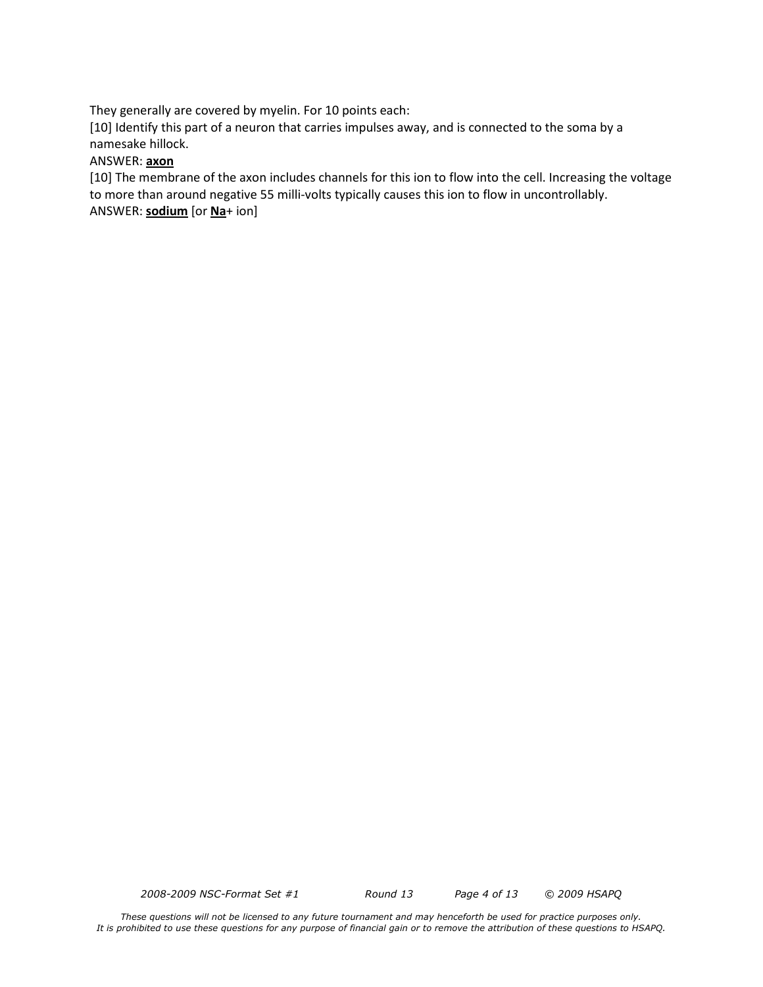They generally are covered by myelin. For 10 points each:

[10] Identify this part of a neuron that carries impulses away, and is connected to the soma by a namesake hillock.

### ANSWER: **axon**

[10] The membrane of the axon includes channels for this ion to flow into the cell. Increasing the voltage to more than around negative 55 milli-volts typically causes this ion to flow in uncontrollably. ANSWER: **sodium** [or **Na**+ ion]

*2008-2009 NSC-Format Set #1 Round 13 Page 4 of 13 © 2009 HSAPQ*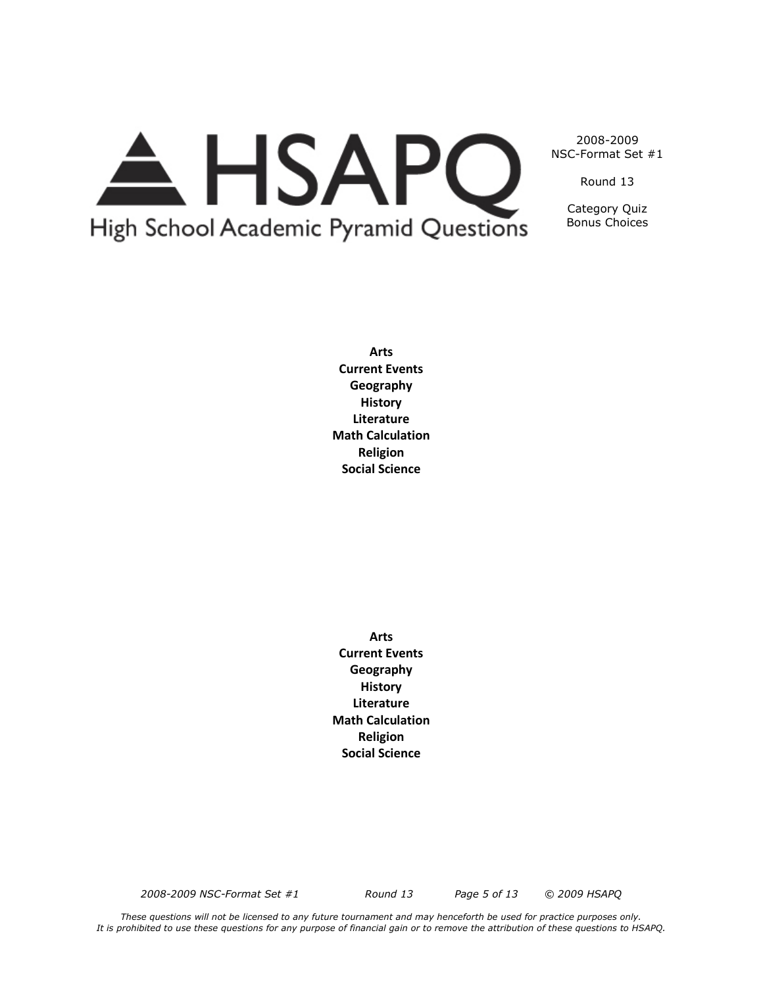

Round 13

Category Quiz Bonus Choices

**Arts Current Events Geography History Literature Math Calculation Religion Social Science**

**Arts Current Events Geography History Literature Math Calculation Religion Social Science**

*2008-2009 NSC-Format Set #1 Round 13 Page 5 of 13 © 2009 HSAPQ*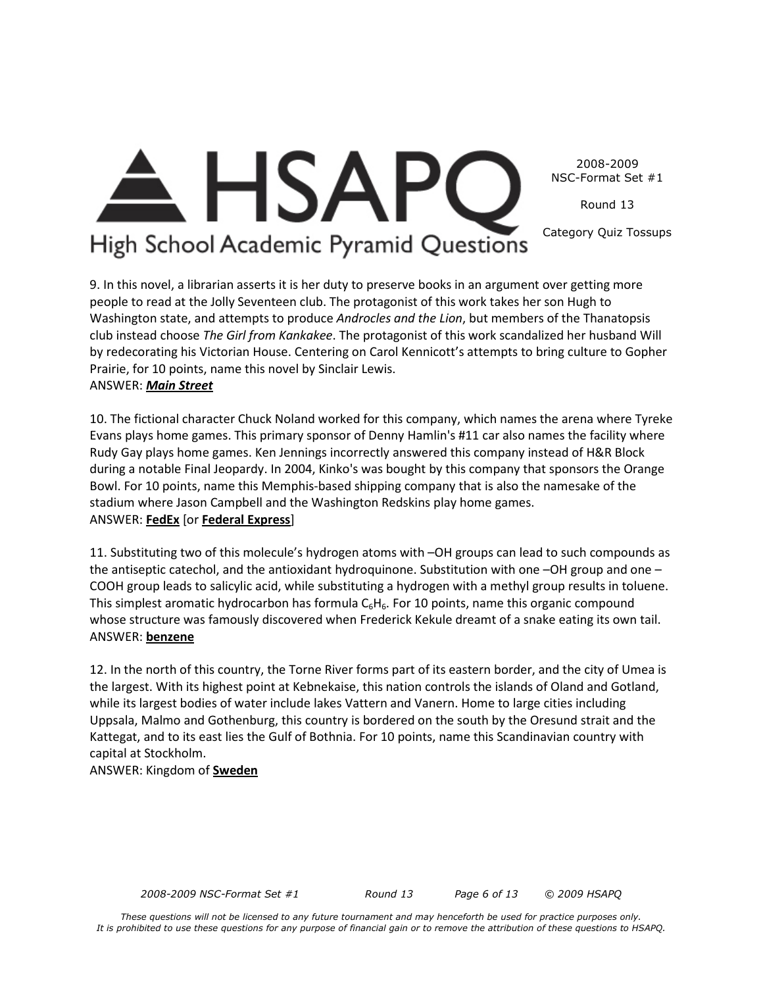High School Academic Pyramid Questions

**HSAP** 

Category Quiz Tossups

Round 13

9. In this novel, a librarian asserts it is her duty to preserve books in an argument over getting more people to read at the Jolly Seventeen club. The protagonist of this work takes her son Hugh to Washington state, and attempts to produce *Androcles and the Lion*, but members of the Thanatopsis club instead choose *The Girl from Kankakee*. The protagonist of this work scandalized her husband Will by redecorating his Victorian House. Centering on Carol Kennicott's attempts to bring culture to Gopher Prairie, for 10 points, name this novel by Sinclair Lewis. ANSWER: *Main Street*

10. The fictional character Chuck Noland worked for this company, which names the arena where Tyreke Evans plays home games. This primary sponsor of Denny Hamlin's #11 car also names the facility where Rudy Gay plays home games. Ken Jennings incorrectly answered this company instead of H&R Block during a notable Final Jeopardy. In 2004, Kinko's was bought by this company that sponsors the Orange Bowl. For 10 points, name this Memphis-based shipping company that is also the namesake of the stadium where Jason Campbell and the Washington Redskins play home games. ANSWER: **FedEx** [or **Federal Express**]

11. Substituting two of this molecule's hydrogen atoms with –OH groups can lead to such compounds as the antiseptic catechol, and the antioxidant hydroquinone. Substitution with one -OH group and one -COOH group leads to salicylic acid, while substituting a hydrogen with a methyl group results in toluene. This simplest aromatic hydrocarbon has formula  $C_6H_6$ . For 10 points, name this organic compound whose structure was famously discovered when Frederick Kekule dreamt of a snake eating its own tail. ANSWER: **benzene**

12. In the north of this country, the Torne River forms part of its eastern border, and the city of Umea is the largest. With its highest point at Kebnekaise, this nation controls the islands of Oland and Gotland, while its largest bodies of water include lakes Vattern and Vanern. Home to large cities including Uppsala, Malmo and Gothenburg, this country is bordered on the south by the Oresund strait and the Kattegat, and to its east lies the Gulf of Bothnia. For 10 points, name this Scandinavian country with capital at Stockholm.

ANSWER: Kingdom of **Sweden**

*2008-2009 NSC-Format Set #1 Round 13 Page 6 of 13 © 2009 HSAPQ*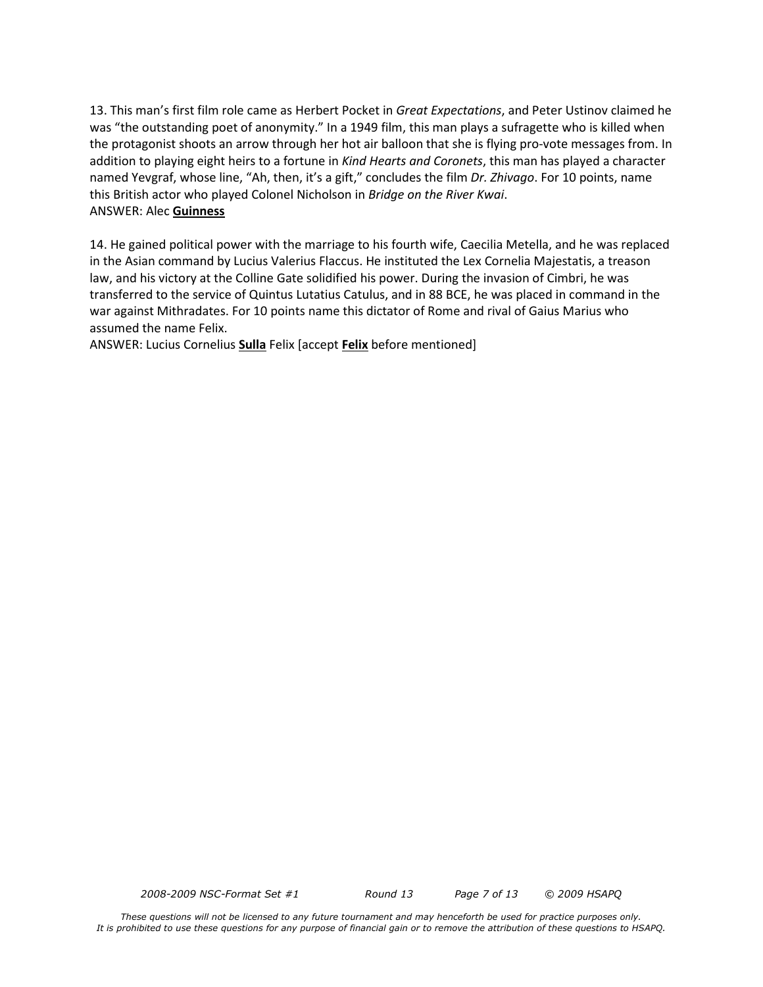13. This man's first film role came as Herbert Pocket in *Great Expectations*, and Peter Ustinov claimed he was "the outstanding poet of anonymity." In a 1949 film, this man plays a sufragette who is killed when the protagonist shoots an arrow through her hot air balloon that she is flying pro-vote messages from. In addition to playing eight heirs to a fortune in *Kind Hearts and Coronets*, this man has played a character named Yevgraf, whose line, "Ah, then, it's a gift," concludes the film *Dr. Zhivago*. For 10 points, name this British actor who played Colonel Nicholson in *Bridge on the River Kwai*. ANSWER: Alec **Guinness**

14. He gained political power with the marriage to his fourth wife, Caecilia Metella, and he was replaced in the Asian command by Lucius Valerius Flaccus. He instituted the Lex Cornelia Majestatis, a treason law, and his victory at the Colline Gate solidified his power. During the invasion of Cimbri, he was transferred to the service of Quintus Lutatius Catulus, and in 88 BCE, he was placed in command in the war against Mithradates. For 10 points name this dictator of Rome and rival of Gaius Marius who assumed the name Felix.

ANSWER: Lucius Cornelius **Sulla** Felix [accept **Felix** before mentioned]

*2008-2009 NSC-Format Set #1 Round 13 Page 7 of 13 © 2009 HSAPQ*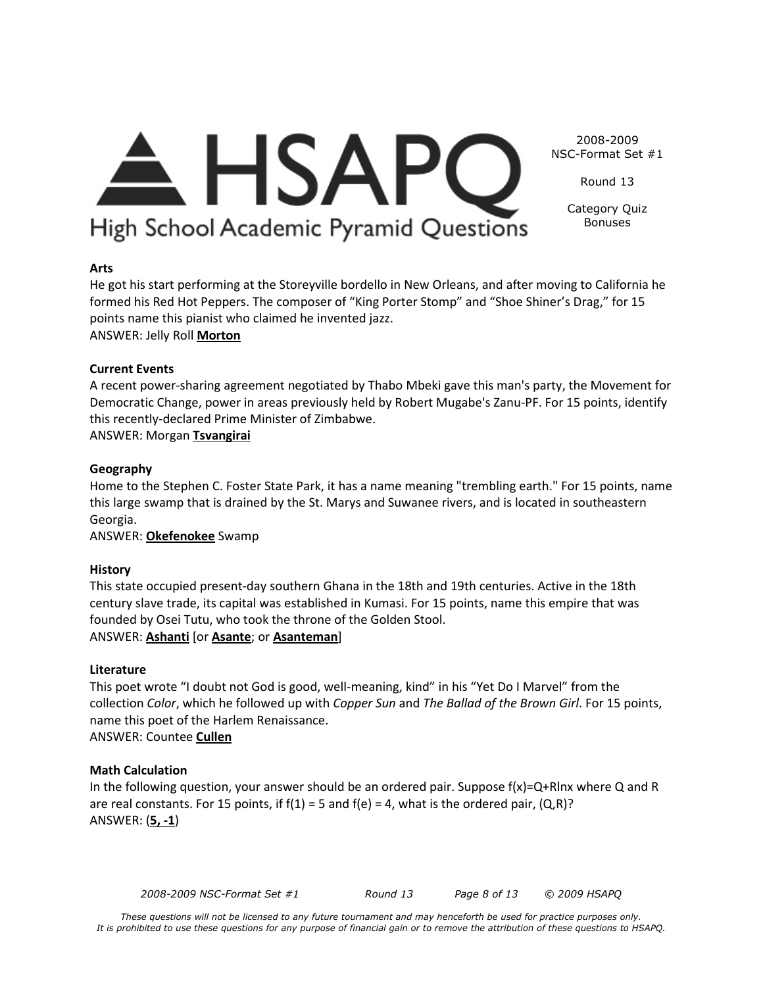Round 13

Category Quiz Bonuses

# High School Academic Pyramid Questions

 $\triangle$  HSAPC

### **Arts**

He got his start performing at the Storeyville bordello in New Orleans, and after moving to California he formed his Red Hot Peppers. The composer of "King Porter Stomp" and "Shoe Shiner's Drag," for 15 points name this pianist who claimed he invented jazz.

ANSWER: Jelly Roll **Morton**

### **Current Events**

A recent power-sharing agreement negotiated by Thabo Mbeki gave this man's party, the Movement for Democratic Change, power in areas previously held by Robert Mugabe's Zanu-PF. For 15 points, identify this recently-declared Prime Minister of Zimbabwe.

ANSWER: Morgan **Tsvangirai**

### **Geography**

Home to the Stephen C. Foster State Park, it has a name meaning "trembling earth." For 15 points, name this large swamp that is drained by the St. Marys and Suwanee rivers, and is located in southeastern Georgia.

ANSWER: **Okefenokee** Swamp

### **History**

This state occupied present-day southern Ghana in the 18th and 19th centuries. Active in the 18th century slave trade, its capital was established in Kumasi. For 15 points, name this empire that was founded by Osei Tutu, who took the throne of the Golden Stool. ANSWER: **Ashanti** [or **Asante**; or **Asanteman**]

### **Literature**

This poet wrote "I doubt not God is good, well-meaning, kind" in his "Yet Do I Marvel" from the collection *Color*, which he followed up with *Copper Sun* and *The Ballad of the Brown Girl*. For 15 points, name this poet of the Harlem Renaissance. ANSWER: Countee **Cullen**

### **Math Calculation**

In the following question, your answer should be an ordered pair. Suppose  $f(x)=Q+R\ln x$  where Q and R are real constants. For 15 points, if  $f(1) = 5$  and  $f(e) = 4$ , what is the ordered pair,  $(Q, R)$ ? ANSWER: (**5, -1**)

*2008-2009 NSC-Format Set #1 Round 13 Page 8 of 13 © 2009 HSAPQ*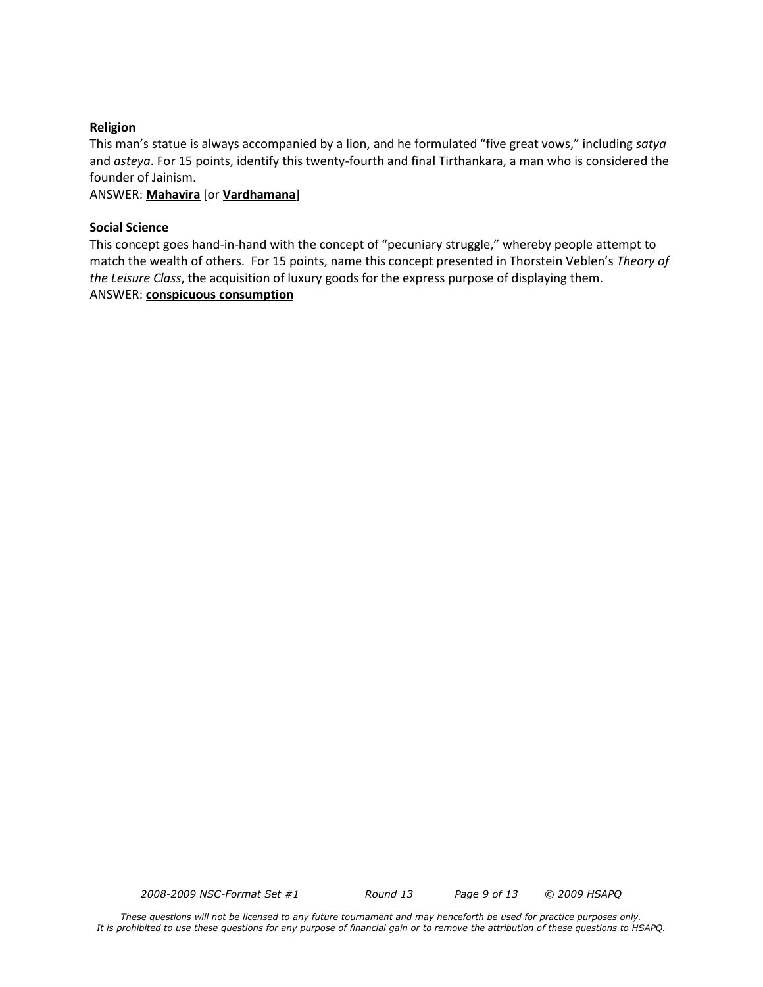### **Religion**

This man's statue is always accompanied by a lion, and he formulated "five great vows," including *satya*  and *asteya*. For 15 points, identify this twenty-fourth and final Tirthankara, a man who is considered the founder of Jainism.

ANSWER: **Mahavira** [or **Vardhamana**]

### **Social Science**

This concept goes hand-in-hand with the concept of "pecuniary struggle," whereby people attempt to match the wealth of others. For 15 points, name this concept presented in Thorstein Veblen's *Theory of the Leisure Class*, the acquisition of luxury goods for the express purpose of displaying them. ANSWER: **conspicuous consumption**

*2008-2009 NSC-Format Set #1 Round 13 Page 9 of 13 © 2009 HSAPQ*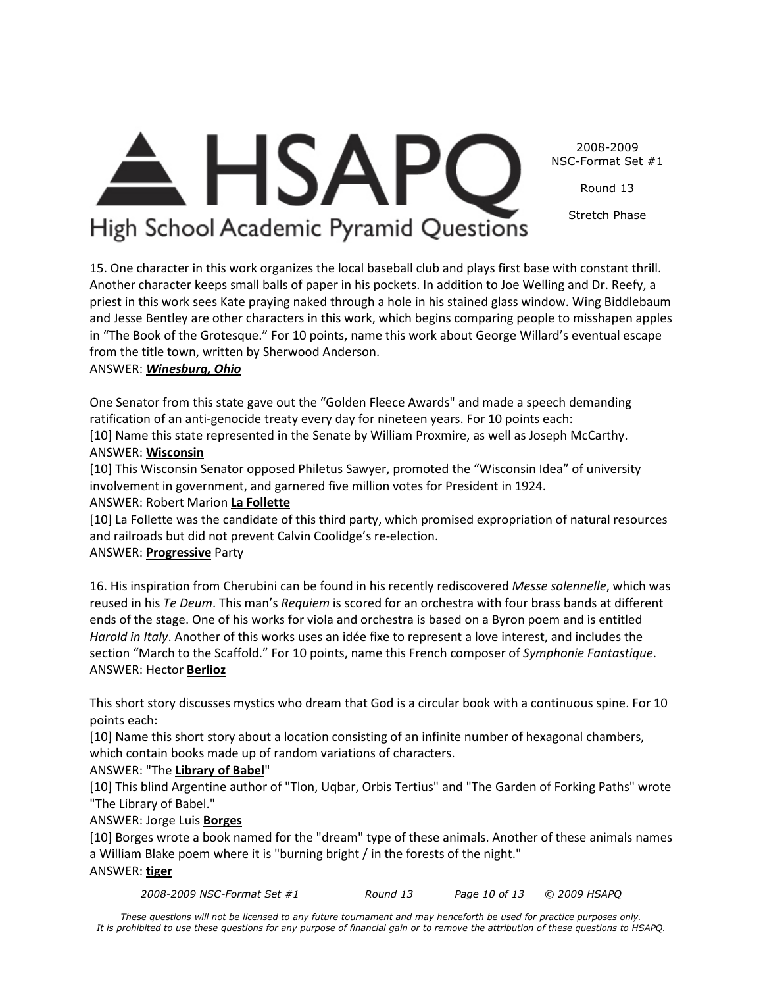Round 13

Stretch Phase

# High School Academic Pyramid Questions

 $\triangle$  HSAPC

15. One character in this work organizes the local baseball club and plays first base with constant thrill. Another character keeps small balls of paper in his pockets. In addition to Joe Welling and Dr. Reefy, a priest in this work sees Kate praying naked through a hole in his stained glass window. Wing Biddlebaum and Jesse Bentley are other characters in this work, which begins comparing people to misshapen apples in "The Book of the Grotesque." For 10 points, name this work about George Willard's eventual escape from the title town, written by Sherwood Anderson.

# ANSWER: *Winesburg, Ohio*

One Senator from this state gave out the "Golden Fleece Awards" and made a speech demanding ratification of an anti-genocide treaty every day for nineteen years. For 10 points each:

[10] Name this state represented in the Senate by William Proxmire, as well as Joseph McCarthy. ANSWER: **Wisconsin**

[10] This Wisconsin Senator opposed Philetus Sawyer, promoted the "Wisconsin Idea" of university involvement in government, and garnered five million votes for President in 1924. ANSWER: Robert Marion **La Follette**

# [10] La Follette was the candidate of this third party, which promised expropriation of natural resources

and railroads but did not prevent Calvin Coolidge's re-election.

# ANSWER: **Progressive** Party

16. His inspiration from Cherubini can be found in his recently rediscovered *Messe solennelle*, which was reused in his *Te Deum*. This man's *Requiem* is scored for an orchestra with four brass bands at different ends of the stage. One of his works for viola and orchestra is based on a Byron poem and is entitled *Harold in Italy*. Another of this works uses an idée fixe to represent a love interest, and includes the section "March to the Scaffold." For 10 points, name this French composer of *Symphonie Fantastique*. ANSWER: Hector **Berlioz**

This short story discusses mystics who dream that God is a circular book with a continuous spine. For 10 points each:

[10] Name this short story about a location consisting of an infinite number of hexagonal chambers, which contain books made up of random variations of characters.

# ANSWER: "The **Library of Babel**"

[10] This blind Argentine author of "Tlon, Uqbar, Orbis Tertius" and "The Garden of Forking Paths" wrote "The Library of Babel."

ANSWER: Jorge Luis **Borges**

[10] Borges wrote a book named for the "dream" type of these animals. Another of these animals names a William Blake poem where it is "burning bright / in the forests of the night."

# ANSWER: **tiger**

*2008-2009 NSC-Format Set #1 Round 13 Page 10 of 13 © 2009 HSAPQ*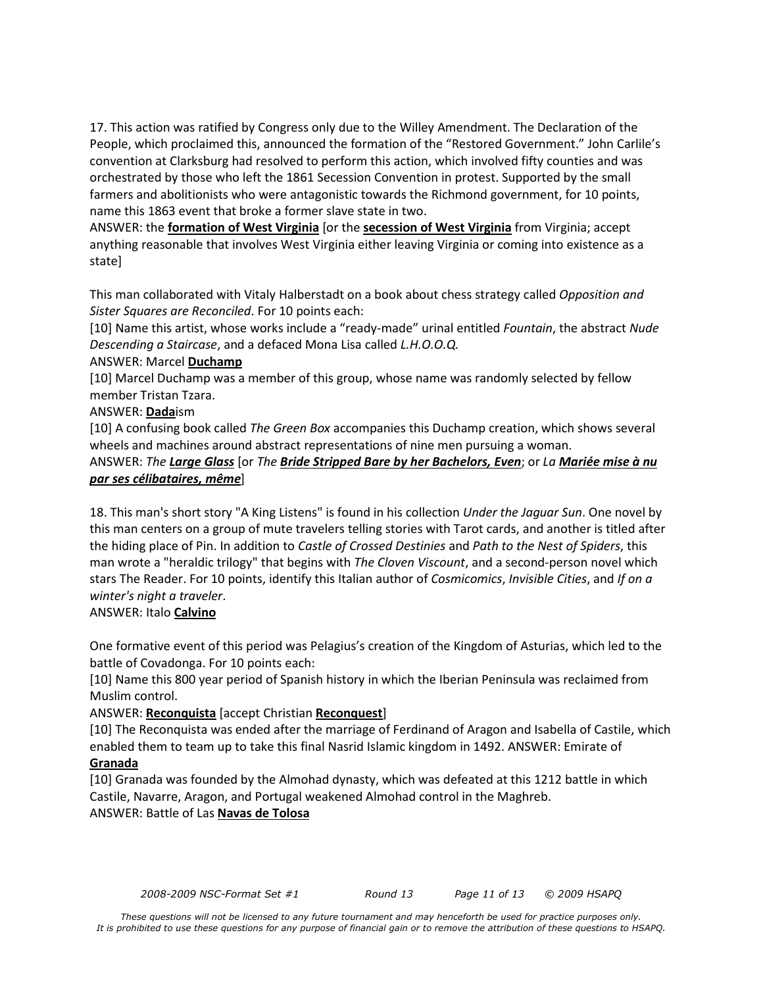17. This action was ratified by Congress only due to the Willey Amendment. The Declaration of the People, which proclaimed this, announced the formation of the "Restored Government." John Carlile's convention at Clarksburg had resolved to perform this action, which involved fifty counties and was orchestrated by those who left the 1861 Secession Convention in protest. Supported by the small farmers and abolitionists who were antagonistic towards the Richmond government, for 10 points, name this 1863 event that broke a former slave state in two.

ANSWER: the **formation of West Virginia** [or the **secession of West Virginia** from Virginia; accept anything reasonable that involves West Virginia either leaving Virginia or coming into existence as a state]

This man collaborated with Vitaly Halberstadt on a book about chess strategy called *Opposition and Sister Squares are Reconciled*. For 10 points each:

[10] Name this artist, whose works include a "ready-made" urinal entitled *Fountain*, the abstract *Nude Descending a Staircase*, and a defaced Mona Lisa called *L.H.O.O.Q.*

## ANSWER: Marcel **Duchamp**

[10] Marcel Duchamp was a member of this group, whose name was randomly selected by fellow member Tristan Tzara.

## ANSWER: **Dada**ism

[10] A confusing book called *The Green Box* accompanies this Duchamp creation, which shows several wheels and machines around abstract representations of nine men pursuing a woman.

# ANSWER: *The Large Glass* [or *The Bride Stripped Bare by her Bachelors, Even*; or *La Mariée mise à nu par ses célibataires, même*]

18. This man's short story "A King Listens" is found in his collection *Under the Jaguar Sun*. One novel by this man centers on a group of mute travelers telling stories with Tarot cards, and another is titled after the hiding place of Pin. In addition to *Castle of Crossed Destinies* and *Path to the Nest of Spiders*, this man wrote a "heraldic trilogy" that begins with *The Cloven Viscount*, and a second-person novel which stars The Reader. For 10 points, identify this Italian author of *Cosmicomics*, *Invisible Cities*, and *If on a winter's night a traveler*.

# ANSWER: Italo **Calvino**

One formative event of this period was Pelagius's creation of the Kingdom of Asturias, which led to the battle of Covadonga. For 10 points each:

[10] Name this 800 year period of Spanish history in which the Iberian Peninsula was reclaimed from Muslim control.

# ANSWER: **Reconquista** [accept Christian **Reconquest**]

[10] The Reconquista was ended after the marriage of Ferdinand of Aragon and Isabella of Castile, which enabled them to team up to take this final Nasrid Islamic kingdom in 1492. ANSWER: Emirate of

## **Granada**

[10] Granada was founded by the Almohad dynasty, which was defeated at this 1212 battle in which Castile, Navarre, Aragon, and Portugal weakened Almohad control in the Maghreb. ANSWER: Battle of Las **Navas de Tolosa**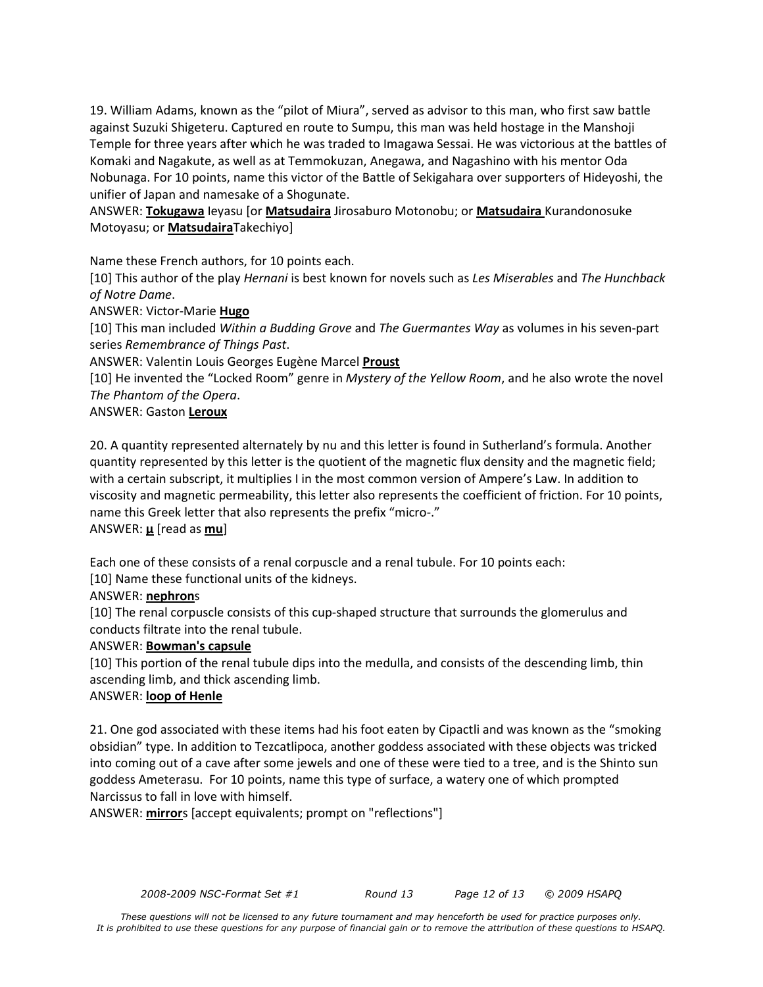19. William Adams, known as the "pilot of Miura", served as advisor to this man, who first saw battle against Suzuki Shigeteru. Captured en route to Sumpu, this man was held hostage in the Manshoji Temple for three years after which he was traded to Imagawa Sessai. He was victorious at the battles of Komaki and Nagakute, as well as at Temmokuzan, Anegawa, and Nagashino with his mentor Oda Nobunaga. For 10 points, name this victor of the Battle of Sekigahara over supporters of Hideyoshi, the unifier of Japan and namesake of a Shogunate.

ANSWER: **Tokugawa** Ieyasu [or **Matsudaira** Jirosaburo Motonobu; or **Matsudaira** Kurandonosuke Motoyasu; or **Matsudaira**Takechiyo]

Name these French authors, for 10 points each.

[10] This author of the play *Hernani* is best known for novels such as *Les Miserables* and *The Hunchback of Notre Dame*.

ANSWER: Victor-Marie **Hugo**

[10] This man included *Within a Budding Grove* and *The Guermantes Way* as volumes in his seven-part series *Remembrance of Things Past*.

ANSWER: Valentin Louis Georges Eugène Marcel **Proust**

[10] He invented the "Locked Room" genre in *Mystery of the Yellow Room*, and he also wrote the novel *The Phantom of the Opera*.

ANSWER: Gaston **Leroux**

20. A quantity represented alternately by nu and this letter is found in Sutherland's formula. Another quantity represented by this letter is the quotient of the magnetic flux density and the magnetic field; with a certain subscript, it multiplies I in the most common version of Ampere's Law. In addition to viscosity and magnetic permeability, this letter also represents the coefficient of friction. For 10 points, name this Greek letter that also represents the prefix "micro-." ANSWER: **μ** [read as **mu**]

Each one of these consists of a renal corpuscle and a renal tubule. For 10 points each:

[10] Name these functional units of the kidneys.

### ANSWER: **nephron**s

[10] The renal corpuscle consists of this cup-shaped structure that surrounds the glomerulus and conducts filtrate into the renal tubule.

### ANSWER: **Bowman's capsule**

[10] This portion of the renal tubule dips into the medulla, and consists of the descending limb, thin ascending limb, and thick ascending limb.

### ANSWER: **loop of Henle**

21. One god associated with these items had his foot eaten by Cipactli and was known as the "smoking obsidian" type. In addition to Tezcatlipoca, another goddess associated with these objects was tricked into coming out of a cave after some jewels and one of these were tied to a tree, and is the Shinto sun goddess Ameterasu. For 10 points, name this type of surface, a watery one of which prompted Narcissus to fall in love with himself.

ANSWER: **mirror**s [accept equivalents; prompt on "reflections"]

*2008-2009 NSC-Format Set #1 Round 13 Page 12 of 13 © 2009 HSAPQ*